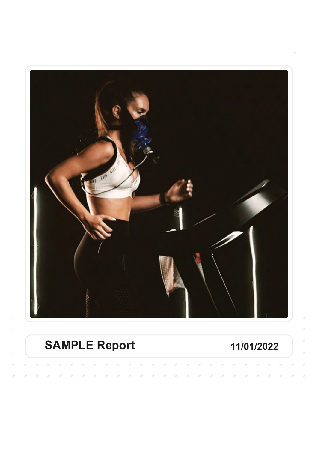

# **SAMPLE Report 11/01/2022**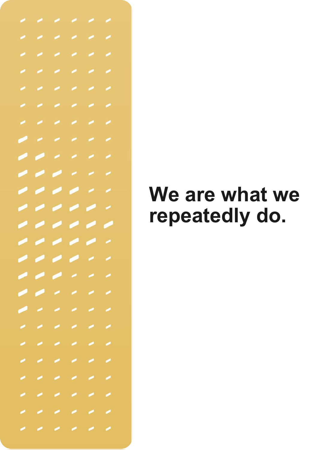

# **We are what we repeatedly do.**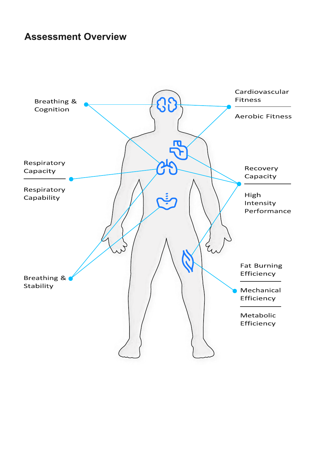#### **Assessment Overview**

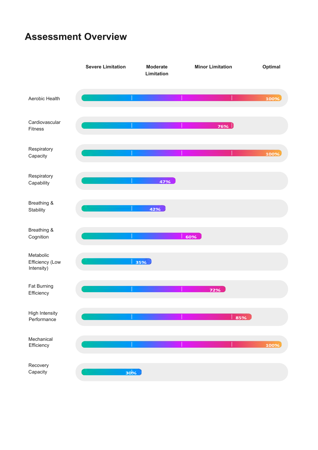### **Assessment Overview**

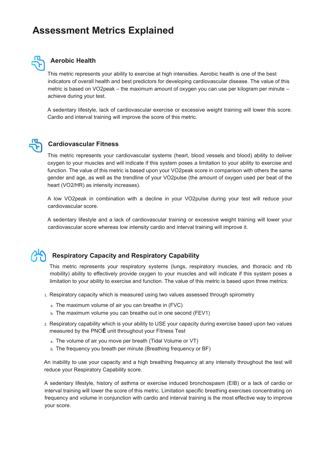### **Assessment Metrics Explained**



#### **Aerobic Health**

This metric represents your ability to exercise at high intensities. Aerobic health is one of the best indicators of overall health and best predictors for developing cardiovascular disease. The value of this metric is based on VO2peak – the maximum amount of oxygen you can use per kilogram per minute – achieve during your test.

A sedentary lifestyle, lack of cardiovascular exercise or excessive weight training will lower this score. Cardio and interval training will improve the score of this metric.



#### **Cardiovascular Fitness**

This metric represents your cardiovascular systems (heart, blood vessels and blood) ability to deliver oxygen to your muscles and will indicate if this system poses a limitation to your ability to exercise and function. The value of this metric is based upon your VO2peak score in comparison with others the same gender and age, as well as the trendline of your VO2pulse (the amount of oxygen used per beat of the heart (VO2/HR) as intensity increases).

A low VO2peak in combination with a decline in your VO2pulse during your test will reduce your cardiovascular score.

A sedentary lifestyle and a lack of cardiovascular training or excessive weight training will lower your cardiovascular score whereas low intensity cardio and interval training will improve it.



#### **Respiratory Capacity and Respiratory Capability**

This metric represents your respiratory systems (lungs, respiratory muscles, and thoracic and rib mobility) ability to effectively provide oxygen to your muscles and will indicate if this system poses a limitation to your ability to exercise and function. The value of this metric is based upon three metrics:

- 1. Respiratory capacity which is measured using two values assessed through spirometry
	- a. The maximum volume of air you can breathe in (FVC)
	- b. The maximum volume you can breathe out in one second (FEV1)
- 2. Respiratory capability which is your ability to USE your capacity during exercise based upon two values measured by the PNO**Ē** unit throughout your Fitness Test
	- a. The volume of air you move per breath (Tidal Volume or VT)
	- b. The frequency you breath per minute (Breathing frequency or BF)

An inability to use your capacity and a high breathing frequency at any intensity throughout the test will reduce your Respiratory Capability score.

A sedentary lifestyle, history of asthma or exercise induced bronchospasm (EIB) or a lack of cardio or interval training will lower the score of this metric. Limitation specific breathing exercises concentrating on frequency and volume in conjunction with cardio and interval training is the most effective way to improve your score.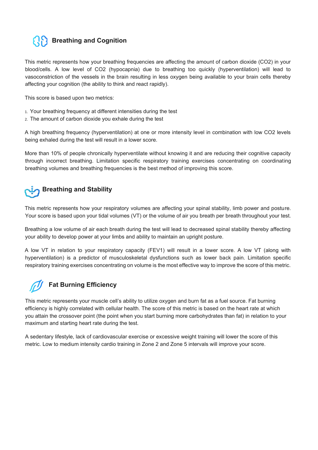### **Breathing and Cognition**

This metric represents how your breathing frequencies are affecting the amount of carbon dioxide (CO2) in your blood/cells. A low level of CO2 (hypocapnia) due to breathing too quickly (hyperventilation) will lead to vasoconstriction of the vessels in the brain resulting in less oxygen being available to your brain cells thereby affecting your cognition (the ability to think and react rapidly).

This score is based upon two metrics:

- 1. Your breathing frequency at different intensities during the test
- 2. The amount of carbon dioxide you exhale during the test

A high breathing frequency (hyperventilation) at one or more intensity level in combination with low CO2 levels being exhaled during the test will result in a lower score.

More than 10% of people chronically hyperventilate without knowing it and are reducing their cognitive capacity through incorrect breathing. Limitation specific respiratory training exercises concentrating on coordinating breathing volumes and breathing frequencies is the best method of improving this score.

## **Breathing and Stability**

This metric represents how your respiratory volumes are affecting your spinal stability, limb power and posture. Your score is based upon your tidal volumes (VT) or the volume of air you breath per breath throughout your test.

Breathing a low volume of air each breath during the test will lead to decreased spinal stability thereby affecting your ability to develop power at your limbs and ability to maintain an upright posture.

A low VT in relation to your respiratory capacity (FEV1) will result in a lower score. A low VT (along with hyperventilation) is a predictor of musculoskeletal dysfunctions such as lower back pain. Limitation specific respiratory training exercises concentrating on volume is the most effective way to improve the score of this metric.

### **Fat Burning Efficiency**

This metric represents your muscle cell's ability to utilize oxygen and burn fat as a fuel source. Fat burning efficiency is highly correlated with cellular health. The score of this metric is based on the heart rate at which you attain the crossover point (the point when you start burning more carbohydrates than fat) in relation to your maximum and starting heart rate during the test.

A sedentary lifestyle, lack of cardiovascular exercise or excessive weight training will lower the score of this metric. Low to medium intensity cardio training in Zone 2 and Zone 5 intervals will improve your score.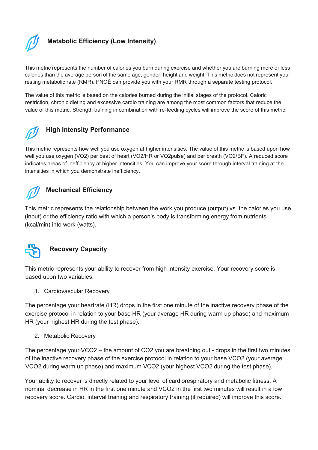

#### **Metabolic Efficiency (Low Intensity)**

This metric represents the number of calories you burn during exercise and whether you are burning more or less calories than the average person of the same age, gender, height and weight. This metric does not represent your resting metabolic rate (RMR). PNOĒ can provide you with your RMR through a separate testing protocol.

The value of this metric is based on the calories burned during the initial stages of the protocol. Caloric restriction, chronic dieting and excessive cardio training are among the most common factors that reduce the value of this metric. Strength training in combination with re-feeding cycles will improve the score of this metric.



#### **High Intensity Performance**

This metric represents how well you use oxygen at higher intensities. The value of this metric is based upon how well you use oxygen (VO2) per beat of heart (VO2/HR or VO2pulse) and per breath (VO2/BF). A reduced score indicates areas of inefficiency at higher intensities. You can improve your score through interval training at the intensities in which you demonstrate inefficiency.



This metric represents the relationship between the work you produce (output) vs. the calories you use (input) or the efficiency ratio with which a person's body is transforming energy from nutrients (kcal/min) into work (watts).



#### **Recovery Capacity**

This metric represents your ability to recover from high intensity exercise. Your recovery score is based upon two variables:

1. Cardiovascular Recovery

The percentage your heartrate (HR) drops in the first one minute of the inactive recovery phase of the exercise protocol in relation to your base HR (your average HR during warm up phase) and maximum HR (your highest HR during the test phase).

2. Metabolic Recovery

The percentage your VCO2 – the amount of CO2 you are breathing out - drops in the first two minutes of the inactive recovery phase of the exercise protocol in relation to your base VCO2 (your average VCO2 during warm up phase) and maximum VCO2 (your highest VCO2 during the test phase).

Your ability to recover is directly related to your level of cardiorespiratory and metabolic fitness. A nominal decrease in HR in the first one minute and VCO2 in the first two minutes will result in a low recovery score. Cardio, interval training and respiratory training (if required) will improve this score.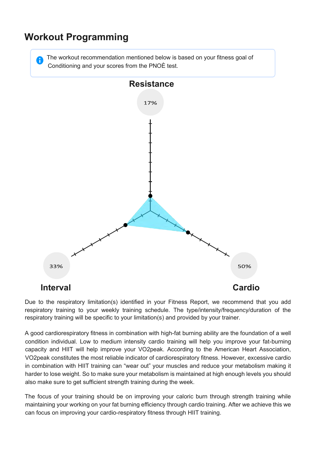### **Workout Programming**

The workout recommendation mentioned below is based on your fitness goal of Conditioning and your scores from the PNOÈ test.



Due to the respiratory limitation(s) identified in your Fitness Report, we recommend that you add respiratory training to your weekly training schedule. The type/intensity/frequency/duration of the respiratory training will be specific to your limitation(s) and provided by your trainer.

A good cardiorespiratory fitness in combination with high-fat burning ability are the foundation of a well condition individual. Low to medium intensity cardio training will help you improve your fat-burning capacity and HIIT will help improve your VO2peak. According to the American Heart Association, VO2peak constitutes the most reliable indicator of cardiorespiratory fitness. However, excessive cardio in combination with HIIT training can "wear out" your muscles and reduce your metabolism making it harder to lose weight. So to make sure your metabolism is maintained at high enough levels you should also make sure to get sufficient strength training during the week.

The focus of your training should be on improving your caloric burn through strength training while maintaining your working on your fat burning efficiency through cardio training. After we achieve this we can focus on improving your cardio-respiratory fitness through HIIT training.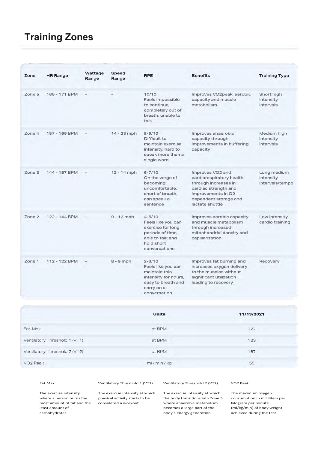### **Training Zones**

| Zone   | <b>HR Range</b> | Wattage<br>Range | <b>Speed</b><br>Range | <b>RPE</b>                                                                                                                    | <b>Benefits</b>                                                                                                                                                | <b>Training Type</b>                        |
|--------|-----------------|------------------|-----------------------|-------------------------------------------------------------------------------------------------------------------------------|----------------------------------------------------------------------------------------------------------------------------------------------------------------|---------------------------------------------|
| Zone 5 | 165 - 171 BPM   |                  |                       | 10/10<br>Feels impossible<br>to continue,<br>completely out of<br>breath, unable to<br>talk                                   | Improves VO2peak, aerobic<br>capacity and muscle<br>metabolism                                                                                                 | Short high<br>intensity<br>intervals        |
| Zone 4 | 157 - 165 BPM   |                  | $14 - 23$ mph         | $8 - 9/10$<br>Difficult to<br>maintain exercise<br>intensity, hard to<br>speak more than a<br>single word                     | Improves anaerobic<br>capacity through<br>improvements in buffering<br>capacity                                                                                | Medium high<br>intensity<br>intervals       |
| Zone 3 | 144 - 157 BPM   |                  | $12 - 14$ mph         | $6 - 7/10$<br>On the verge of<br>becoming<br>uncomfortable.<br>short of breath,<br>can speak a<br>sentence                    | Improves VO2 and<br>cardiorespiratory health<br>through increases in<br>cardiac strength and<br>improvements in O2<br>dependent storage and<br>lactate shuttle | Long medium<br>intensity<br>intervals/tempo |
| Zone 2 | 122 - 144 BPM   |                  | $9 - 12$ mph          | $4 - 5/10$<br>Feels like you can<br>exercise for long<br>periods of time,<br>able to talk and<br>hold short<br>conversations  | Improves aerobic capacity<br>and muscle metabolism<br>through increased<br>mitochondrial density and<br>capillarization                                        | Low intensity<br>cardio training            |
| Zone 1 | 112 - 122 BPM   |                  | $8 - 9$ mph           | $2 - 3/10$<br>Feels like you can<br>maintain this<br>intensity for hours,<br>easy to breath and<br>carry on a<br>conversation | Improves fat burning and<br>increases oxygen delivery<br>to the muscles without<br>significant utilization<br>leading to recovery                              | Recovery                                    |

|                               | <b>Units</b>  | 11/13/2021 |
|-------------------------------|---------------|------------|
| Fat-Max                       | at BPM        | 122        |
| Ventilatory Threshold 1 (VT1) | at BPM        | 123        |
| Ventilatory Threshold 2 (VT2) | at BPM        | 167        |
| VO <sub>2</sub> Peak          | ml / min / kg | 55         |

Τhe exercise intensity where a person burns the most amount of fat and the

least amount of carbohydrates

Fat Max Ventilatory Threshold 1 (VT1) Ventilatory Threshold 2 (VT2) VO2 Peak

considered a workout

The exercise intensity at which physical activity starts to be The exercise intensity at which the body transitions into Zone 5 where anaerobic metabolism becomes a large part of the body's energy generation

The maximum oxygen consumption in milliliters per kilogram per minute (ml/kg/min) of body weight achieved during the test